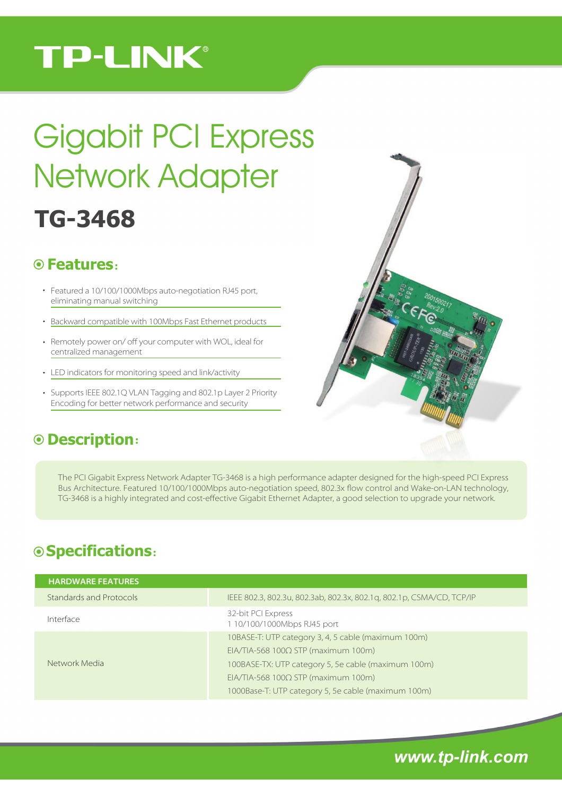## **TP-LINK®**

# **TG-3468** Gigabit PCI Express Network Adapter

#### ˖ **Features**

- Featured a 10/100/1000Mbps auto-negotiation RJ45 port, eliminating manual switching
- Backward compatible with 100Mbps Fast Ethernet products
- Remotely power on/ off your computer with WOL, ideal for centralized management
- LED indicators for monitoring speed and link/activity
- Supports IEEE 802.1Q VLAN Tagging and 802.1p Layer 2 Priority Encoding for better network performance and security

### ˖ **Description**

The PCI Gigabit Express Network Adapter TG-3468 is a high performance adapter designed for the high-speed PCI Express Bus Architecture. Featured 10/100/1000Mbps auto-negotiation speed, 802.3x #ow control and Wake-on-LAN technology, TG-3468 is a highly integrated and cost-effective Gigabit Ethernet Adapter, a good selection to upgrade your network.

## **Specifications**˖

| <b>HARDWARE FEATURES</b> |                                                                                                                                                                                                                                                                     |
|--------------------------|---------------------------------------------------------------------------------------------------------------------------------------------------------------------------------------------------------------------------------------------------------------------|
| Standards and Protocols  | IEEE 802.3, 802.3u, 802.3ab, 802.3x, 802.1g, 802.1p, CSMA/CD, TCP/IP                                                                                                                                                                                                |
| Interface                | 32-bit PCI Express<br>1 10/100/1000Mbps RJ45 port                                                                                                                                                                                                                   |
| Network Media            | 10BASE-T: UTP category 3, 4, 5 cable (maximum 100m)<br>$EIA/TIA-568$ 100 $\Omega$ STP (maximum 100m)<br>100BASE-TX: UTP category 5, 5e cable (maximum 100m)<br>$EIA/TIA-568$ 100 $\Omega$ STP (maximum 100m)<br>1000Base-T: UTP category 5, 5e cable (maximum 100m) |

*www.tp-link.com*